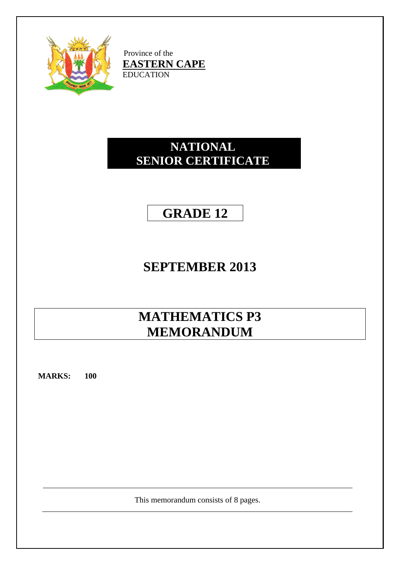

Province of the **EASTERN CAPE** EDUCATION

## **NATIONAL SENIOR CERTIFICATE**

## **GRADE 12**

# **SEPTEMBER 2013**

# **MATHEMATICS P3 MEMORANDUM**

**MARKS: 100**

This memorandum consists of 8 pages.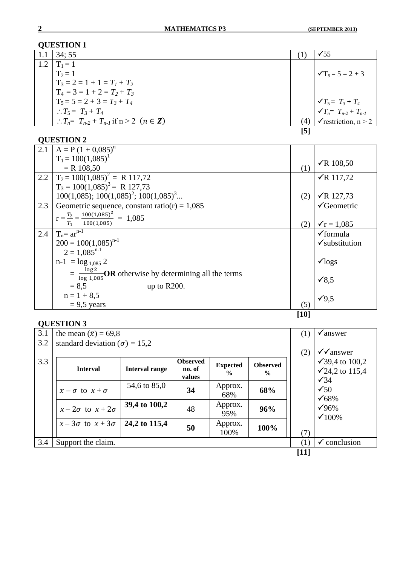|     | 34:55                                                       |     | $\checkmark$ 55                         |
|-----|-------------------------------------------------------------|-----|-----------------------------------------|
| 1.2 | $T_1 = 1$                                                   |     |                                         |
|     | $T_2 = 1$                                                   |     | $\sqrt{T_5} = 5 = 2 + 3$                |
|     | $T_3 = 2 = 1 + 1 = T_1 + T_2$                               |     |                                         |
|     | $T_4 = 3 = 1 + 2 = T_2 + T_3$                               |     |                                         |
|     | $T_5 = 5 = 2 + 3 = T_3 + T_4$                               |     | $\sqrt{T_5} = T_3 + T_4$                |
|     | $\therefore T_5 = T_3 + T_4$                                |     | $\sum_{n=1}^{\infty} T_{n-2} + T_{n-1}$ |
|     | : $T_n = T_{n-2} + T_{n-1}$ if $n > 2$ $(n \in \mathbb{Z})$ | (4  | $\checkmark$ restriction, n > 2         |
|     |                                                             | [5] |                                         |
|     |                                                             |     |                                         |

## **QUESTION 2**

| 2.1 | $A = P(1 + 0.085)^n$                                                   |        |                           |
|-----|------------------------------------------------------------------------|--------|---------------------------|
|     | $T_1 = 100(1,085)^1$                                                   |        | $\sqrt{R}$ 108,50         |
|     | $=$ R 108,50                                                           | (1)    |                           |
| 2.2 | $T_2 = 100(1,085)^2 = R 117,72$                                        |        | $\sqrt{R}$ 117,72         |
|     | $T_3 = 100(1,085)^3 = R 127,73$                                        |        |                           |
|     | $100(1,085); 100(1,085)^2; 100(1,085)^3$                               | (2)    | $\sqrt{R}$ 127,73         |
| 2.3 | Geometric sequence, constant ratio(r) = $1,085$                        |        | $\sqrt{\text{Geometric}}$ |
|     | $r = \frac{T_2}{T_1} = \frac{100(1,085)^2}{100(1,085)} = 1,085$        | (2)    | $\sqrt{r} = 1,085$        |
| 2.4 | $T_n = ar^{n-1}$                                                       |        | $\checkmark$ formula      |
|     | $200 = 100(1,085)^{n-1}$                                               |        | $\checkmark$ substitution |
|     | $2 = 1,085^{n-1}$                                                      |        |                           |
|     | $n-1 = log_{1,085} 2$                                                  |        | $\sqrt{\log s}$           |
|     | $=\frac{\log 2}{\log 1.085}$ OR otherwise by determining all the terms |        | $\sqrt{8,5}$              |
|     | $= 8.5$<br>up to $R200$ .                                              |        |                           |
|     | $n = 1 + 8.5$                                                          |        | $\sqrt{9.5}$              |
|     | $= 9.5$ years                                                          | (5)    |                           |
|     |                                                                        | $[10]$ |                           |

| 3.1 | the mean $(\bar{x}) = 69.8$            |                       |                                     |                                  |                                  | $\perp$ | $\checkmark$ answer                             |
|-----|----------------------------------------|-----------------------|-------------------------------------|----------------------------------|----------------------------------|---------|-------------------------------------------------|
| 3.2 | standard deviation ( $\sigma$ ) = 15,2 |                       |                                     |                                  |                                  |         |                                                 |
|     |                                        |                       |                                     |                                  |                                  | (2)     | $\sqrt{\sqrt{2}}$ answer                        |
| 3.3 | <b>Interval</b>                        | <b>Interval range</b> | <b>Observed</b><br>no. of<br>values | <b>Expected</b><br>$\frac{0}{0}$ | <b>Observed</b><br>$\frac{6}{9}$ |         | √39,4 to 100,2<br>√24,2 to 115,4<br>$\sqrt{34}$ |
|     | $x - \sigma$ to $x + \sigma$           | 54,6 to 85,0          | 34                                  | Approx.<br>68%                   | 68%                              |         | $\checkmark$ 50<br>$\sqrt{68\%}$                |
|     | $x-2\sigma$ to $x+2\sigma$             | 39,4 to 100,2         | 48                                  | Approx.<br>95%                   | 96%                              |         | $\sqrt{96\%}$<br>$\times 100\%$                 |
|     | $x-3\sigma$ to $x+3\sigma$             | 24,2 to 115,4         | 50                                  | Approx.<br>100%                  | 100%                             | (7)     |                                                 |
| 3.4 | Support the claim.                     |                       |                                     |                                  |                                  |         | conclusion<br>✔                                 |
|     |                                        |                       |                                     |                                  |                                  | $[11]$  |                                                 |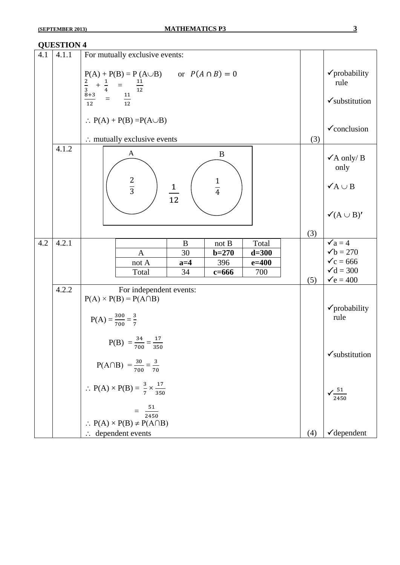| 4.1 | 4.1.1 | For mutually exclusive events:                                                                                                                                        |     |                                                                                                                    |
|-----|-------|-----------------------------------------------------------------------------------------------------------------------------------------------------------------------|-----|--------------------------------------------------------------------------------------------------------------------|
|     |       | $P(A) + P(B) = P(A \cup B)$ or $P(A \cap B) = 0$<br>$\frac{2}{3} + \frac{1}{4} = \frac{11}{12}$<br>$\frac{8+3}{12} = \frac{11}{12}$                                   |     | √probability<br>rule                                                                                               |
|     |       |                                                                                                                                                                       |     | $\checkmark$ substitution                                                                                          |
|     |       | $\therefore$ P(A) + P(B) = P(A $\cup$ B)                                                                                                                              |     | $\checkmark$ conclusion                                                                                            |
|     |       | $\therefore$ mutually exclusive events                                                                                                                                | (3) |                                                                                                                    |
|     | 4.1.2 | A<br>B                                                                                                                                                                |     | $\checkmark$ A only/ B<br>only                                                                                     |
|     |       | $rac{2}{3}$<br>$\frac{1}{4}$<br>$\frac{1}{12}$                                                                                                                        |     | $\checkmark$ A $\cup$ B                                                                                            |
|     |       |                                                                                                                                                                       |     | $\checkmark$ (A $\cup$ B)'                                                                                         |
|     |       |                                                                                                                                                                       | (3) |                                                                                                                    |
| 4.2 | 4.2.1 | $\bf{B}$<br>$\operatorname{not}\,B$<br>Total<br>30<br>$\mathbf{A}$<br>$b = 270$<br>$d = 300$<br>396<br>$e = 400$<br>$a=4$<br>not A<br>Total<br>34<br>700<br>$c = 666$ |     | $\checkmark$ a = 4<br>$\checkmark$ b = 270<br>$\checkmark$ c = 666<br>$\checkmark$ d = 300<br>$\checkmark$ e = 400 |
|     | 4.2.2 | For independent events:                                                                                                                                               | (5) |                                                                                                                    |
|     |       | $P(A) \times P(B) = P(A \cap B)$                                                                                                                                      |     |                                                                                                                    |
|     |       | $P(A) = \frac{300}{700} = \frac{3}{7}$                                                                                                                                |     | $\checkmark$ probability<br>rule                                                                                   |
|     |       | $P(B) = \frac{34}{700} = \frac{17}{350}$                                                                                                                              |     | $\checkmark$ substitution                                                                                          |
|     |       | $P(A \cap B) = \frac{30}{700} = \frac{3}{70}$                                                                                                                         |     |                                                                                                                    |
|     |       | $\therefore P(A) \times P(B) = \frac{3}{7} \times \frac{17}{350}$                                                                                                     |     | $\sqrt{\frac{51}{2450}}$                                                                                           |
|     |       | $=\frac{51}{2450}$<br>$\therefore$ P(A) $\times$ P(B) $\neq$ P(A $\cap$ B)                                                                                            |     |                                                                                                                    |
|     |       | $\therefore$ dependent events                                                                                                                                         | (4) | $\checkmark$ dependent                                                                                             |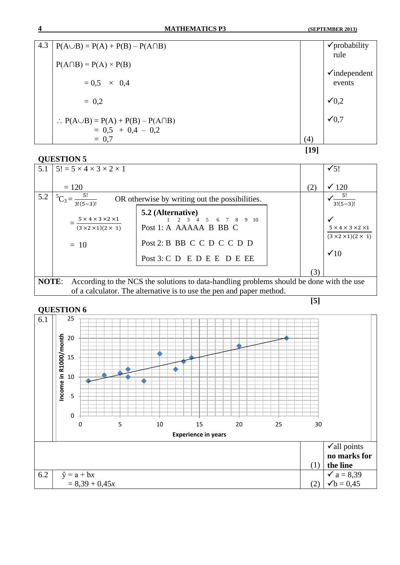

| 5.1          | $15! = 5 \times 4 \times 3 \times 2 \times 1$                                            |                                                                                                                                                     |     | $\sqrt{5!}$                                                                                   |  |
|--------------|------------------------------------------------------------------------------------------|-----------------------------------------------------------------------------------------------------------------------------------------------------|-----|-----------------------------------------------------------------------------------------------|--|
|              | $= 120$                                                                                  |                                                                                                                                                     | (2) | $\times$ 120                                                                                  |  |
| 5.2          | $^5C_3 =$<br>OR otherwise by writing out the possibilities.<br>$3!(5-3)!$                |                                                                                                                                                     |     | $\sim$ 5!<br>$3!(5-3)!$                                                                       |  |
|              | $5 \times 4 \times 3 \times 2 \times 1$<br>$(3 \times 2 \times 1)(2 \times 1)$<br>$= 10$ | 5.2 (Alternative)<br>$1 \t2 \t3 \t4 \t5 \t6 \t7 \t8 \t9 \t10$<br>Post 1: A AAAAA B BB C<br>Post 2: B BB C C D C C D D<br>Post 3: C D E D E E D E EE |     | $5 \times 4 \times 3 \times 2 \times 1$<br>$(3 \times 2 \times 1)(2 \times 1)$<br>$\times$ 10 |  |
|              |                                                                                          |                                                                                                                                                     | (3) |                                                                                               |  |
| <b>NOTE:</b> |                                                                                          | According to the NCS the solutions to data-handling problems should be done with the use                                                            |     |                                                                                               |  |
|              | of a calculator. The alternative is to use the pen and paper method.                     |                                                                                                                                                     |     |                                                                                               |  |

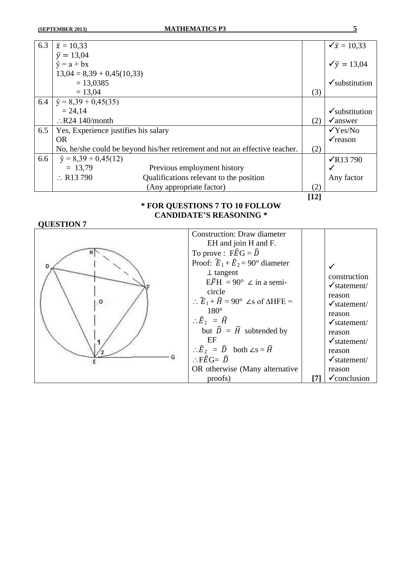| 6.3 | $\bar{x} = 10,33$                    |                                                                             |        | $\sqrt{\overline{x}} = 10,33$ |
|-----|--------------------------------------|-----------------------------------------------------------------------------|--------|-------------------------------|
|     | $\bar{v} = 13,04$                    |                                                                             |        |                               |
|     | $\hat{v} = a + bx$                   |                                                                             |        | $\sqrt{y} = 13,04$            |
|     | $13,04 = 8,39 + 0,45(10,33)$         |                                                                             |        |                               |
|     | $= 13,0385$                          |                                                                             |        | $\checkmark$ substitution     |
|     | $= 13,04$                            |                                                                             | (3)    |                               |
| 6.4 | $\hat{y} = 8,39 + 0,45(35)$          |                                                                             |        |                               |
|     | $= 24,14$                            |                                                                             |        | $\checkmark$ substitution     |
|     | $\therefore$ R24 140/month           |                                                                             | (2)    | $\checkmark$ answer           |
| 6.5 | Yes, Experience justifies his salary |                                                                             |        | $\sqrt{Y}$ es/No              |
|     | <b>OR</b>                            |                                                                             |        | $\checkmark$ reason           |
|     |                                      | No, he/she could be beyond his/her retirement and not an effective teacher. | (2)    |                               |
| 6.6 | $\hat{y} = 8,39 + 0,45(12)$          |                                                                             |        | $\sqrt{R13790}$               |
|     | $= 13,79$                            | Previous employment history                                                 |        | $\checkmark$                  |
|     | $\therefore$ R13 790                 | Qualifications relevant to the position                                     |        | Any factor                    |
|     |                                      | (Any appropriate factor)                                                    | (2)    |                               |
|     |                                      |                                                                             | $[12]$ |                               |

### **\* FOR QUESTIONS 7 TO 10 FOLLOW CANDIDATE'S REASONING \***

| $\circ$ | <b>Construction: Draw diameter</b><br>EH and join H and F.<br>To prove : $F\hat{E}G = \hat{D}$<br>Proof: $\hat{E}_1 + \hat{E}_2 = 90^\circ$ diameter<br>$\perp$ tangent<br>$E\widehat{F}H = 90^{\circ} \angle$ in a semi-<br>circle<br>$\therefore \widehat{E}_1 + \widehat{H} = 90^\circ$ $\angle$ s of $\triangle$ HFE =<br>$180^\circ$<br>$\therefore \widehat{E}_2 = \widehat{H}$<br>but $\hat{D} = \hat{H}$ subtended by<br>ΕF<br>$\therefore \hat{E}_2 = \hat{D}$ both $\angle s = \hat{H}$<br>$\therefore$ FÊG= $\widehat{D}$<br>OR otherwise (Many alternative | construction<br>$\checkmark$ statement/<br>reason<br>$\checkmark$ statement/<br>reason<br>$\checkmark$ statement/<br>reason<br>$\checkmark$ statement/<br>reason<br>$\checkmark$ statement/<br>reason |
|---------|------------------------------------------------------------------------------------------------------------------------------------------------------------------------------------------------------------------------------------------------------------------------------------------------------------------------------------------------------------------------------------------------------------------------------------------------------------------------------------------------------------------------------------------------------------------------|-------------------------------------------------------------------------------------------------------------------------------------------------------------------------------------------------------|
|         | proofs)                                                                                                                                                                                                                                                                                                                                                                                                                                                                                                                                                                | $\checkmark$ conclusion                                                                                                                                                                               |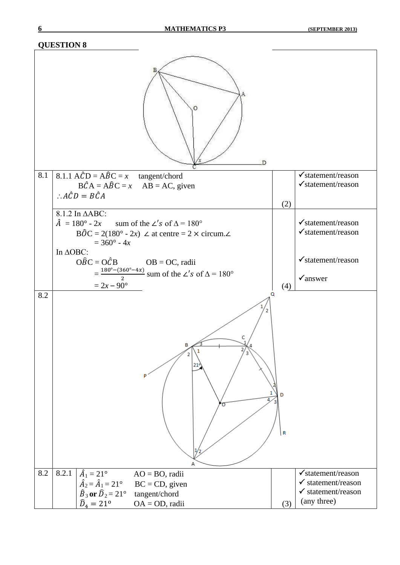| D                                                                                                       |                                                                |
|---------------------------------------------------------------------------------------------------------|----------------------------------------------------------------|
| 8.1<br>8.1.1 $A\hat{C}D = A\hat{B}C = x$ tangent/chord                                                  | $\checkmark$ statement/reason<br>$\checkmark$ statement/reason |
| $B\hat{C}A = A\hat{B}C = x$ AB = AC, given<br>: $A\hat{C}D = B\hat{C}A$                                 |                                                                |
| (2)                                                                                                     |                                                                |
| 8.1.2 In $\triangle ABC$ :<br>$\hat{A} = 180^\circ - 2x$ sum of the $\angle$ 's of $\Delta = 180^\circ$ | $\checkmark$ statement/reason                                  |
| $B\hat{O}C = 2(180^{\circ} - 2x)$ $\angle$ at centre = 2 $\times$ circum. $\angle$                      | $\checkmark$ statement/reason                                  |
| $= 360^{\circ} - 4x$<br>In ΔOBC:                                                                        |                                                                |
| $\widehat{OBC} = \widehat{OCB}$ $OB = OC$ , radii                                                       | $\checkmark$ statement/reason                                  |
| $=\frac{180^{\circ}-(360^{\circ}-4x)}{2}$ sum of the $\angle'$ s of $\Delta = 180^{\circ}$              | $\checkmark$ answer                                            |
| $= 2x - 90^{\circ}$<br>(4)                                                                              |                                                                |
| Q<br>8.2<br>21<br>D<br>$\overline{\mathsf{R}}$<br>А                                                     |                                                                |
| 8.2.1<br>$\hat{A}_1 = 21^\circ$<br>8.2<br>$AO = BO$ , radii                                             | $\checkmark$ statement/reason                                  |
| $\hat{A}_2 = \hat{A}_1 = 21^{\circ}$<br>$BC = CD$ , given<br>$\hat{B}_3$ or $\hat{D}_2 = 21^\circ$      | $\checkmark$ statement/reason<br>$\checkmark$ statement/reason |
| tangent/chord<br>$\widehat{D}_4 = 21^{\circ}$<br>$OA = OD$ , radii<br>(3)                               | (any three)                                                    |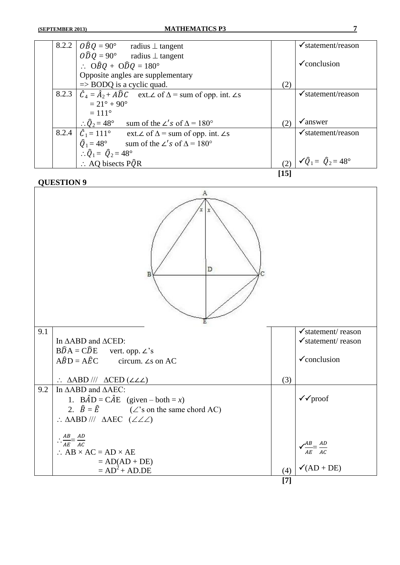| 8.2.2 | $\widehat{OBQ} = 90^{\circ}$ radius $\perp$ tangent                                         |      | $\checkmark$ statement/reason             |
|-------|---------------------------------------------------------------------------------------------|------|-------------------------------------------|
|       | $\widehat{ODQ} = 90^{\circ}$ radius $\perp$ tangent                                         |      |                                           |
|       | $\therefore$ OBQ + ODQ = 180°                                                               |      | $\checkmark$ conclusion                   |
|       | Opposite angles are supplementary                                                           |      |                                           |
|       | $\Rightarrow$ BODQ is a cyclic quad.                                                        | (2)  |                                           |
| 8.2.3 | $\hat{C}_4 = \hat{A}_2 + A\hat{D}C$ ext. $\angle$ of $\Delta$ = sum of opp. int. $\angle$ s |      | $\checkmark$ statement/reason             |
|       | $= 21^{\circ} + 90^{\circ}$                                                                 |      |                                           |
|       | $= 111^{\circ}$                                                                             |      |                                           |
|       | $\therefore \hat{Q}_2 = 48^\circ$ sum of the $\angle$ 's of $\Delta = 180^\circ$            | (2)  | $\sqrt{a}$ nswer                          |
| 8.2.4 | $\hat{C}_1 = 111^\circ$ ext. $\angle$ of $\Delta$ = sum of opp. int. $\angle$ s             |      | $\checkmark$ statement/reason             |
|       | $\hat{Q}_1 = 48^\circ$ sum of the $\angle$ 's of $\Delta = 180^\circ$                       |      |                                           |
|       | $\therefore \hat{Q}_1 = \hat{Q}_2 = 48^\circ$                                               |      |                                           |
|       | $\therefore$ AQ bisects P $\hat{Q}R$                                                        |      | $(2)   \sqrt{Q_1} = \hat{Q}_2 = 48^\circ$ |
|       |                                                                                             | [15] |                                           |

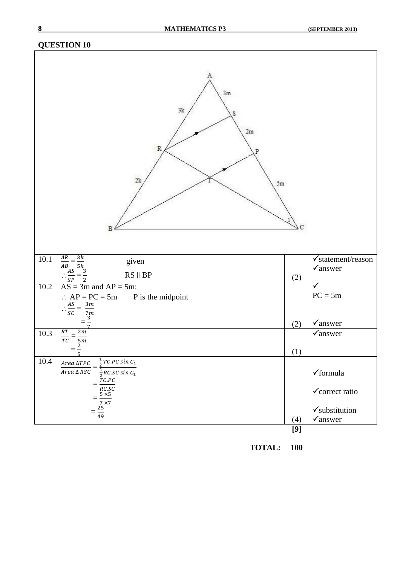|          | 3m<br>3k<br>2m<br>$\mathbb{R}$<br>P<br>2k<br>$5\mathrm{m}$                                                |     |                                                      |
|----------|-----------------------------------------------------------------------------------------------------------|-----|------------------------------------------------------|
| $10.1\,$ | $\frac{AR}{AB} = \frac{3k}{5k}$<br>$\therefore \frac{AS}{SP} = \frac{3}{2}$<br>given<br>$RS \parallel BP$ | (2) | $\checkmark$ statement/reason<br>$\checkmark$ answer |
| $10.2\,$ | $AS = 3m$ and $AP = 5m$ :                                                                                 |     | $\blacklozenge$                                      |
|          | $\therefore AP = PC = 5m$ P is the midpoint                                                               |     | $PC = 5m$                                            |
|          | $\therefore \frac{AS}{SC} =$                                                                              |     |                                                      |
|          | $\frac{3m}{7m}$ $\frac{3m}{7}$                                                                            |     |                                                      |
|          |                                                                                                           | (2) | $\checkmark$ answer                                  |
| $10.3\,$ | RT<br>2m                                                                                                  |     | $\checkmark$ answer                                  |
|          | $\overline{TC}$<br>$\frac{5m}{2}$                                                                         |     |                                                      |
|          | 5                                                                                                         | (1) |                                                      |
| 10.4     | $\frac{1}{2}$ TC.PC sin C <sub>1</sub><br>$Area\ \Delta TPC$                                              |     |                                                      |
|          | $\frac{1}{2}$ RC.SC sin $C_1$<br>$Area\,\Delta\,RSC$                                                      |     | $\checkmark$ formula                                 |
|          | $=\frac{7}{100}$<br>$\frac{7C.PC}{RCC}$<br>$=\frac{5 \times 5}{7 \times 7}$<br>$=\frac{25}{49}$           |     |                                                      |
|          |                                                                                                           |     | $\checkmark$ correct ratio                           |
|          |                                                                                                           |     | $\checkmark$ substitution                            |
|          |                                                                                                           | (4) | $\checkmark$ answer                                  |
|          |                                                                                                           | [9] |                                                      |
|          |                                                                                                           |     |                                                      |

**TOTAL: 100**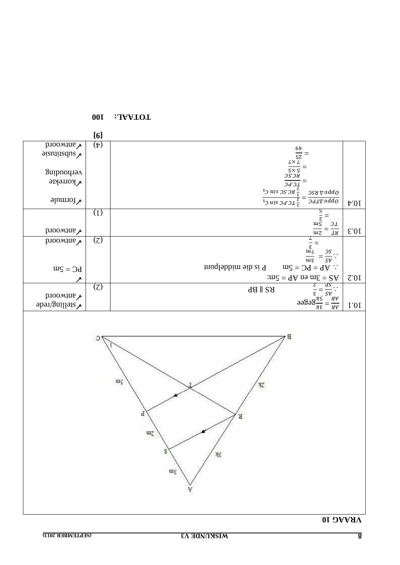

**1001 •• 100 Little Property**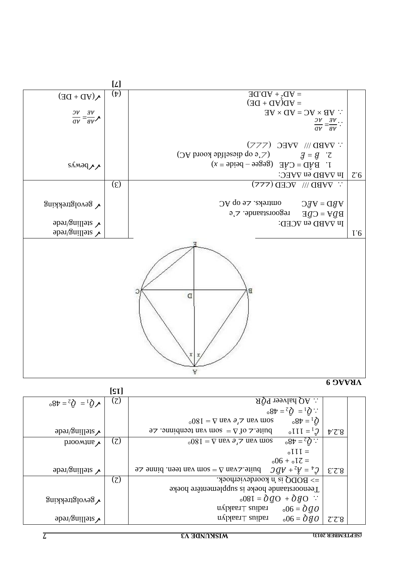**9 VRAAG** 

|                                                                | [s <sub>L</sub> ] |                                                                                                                   |                                              |
|----------------------------------------------------------------|-------------------|-------------------------------------------------------------------------------------------------------------------|----------------------------------------------|
| $\sqrt{0}$ <sup>1</sup> = $\sqrt{0}$ <sup>2</sup> = $\sqrt{0}$ | (7)               | $\therefore$ AQ halveer PÔR                                                                                       |                                              |
|                                                                |                   | $\therefore \mathbf{Q}^1 = \mathbf{Q}^2 = \mathbf{d}8$                                                            |                                              |
|                                                                |                   | $0.8t = 10$<br>$_{\circ}$ 08 I = $\nabla$ ues $\partial_{1}$ $\overline{z}$ ues uos                               |                                              |
| $\gamma$ stelling/rede                                         |                   | buite. $\Delta$ of $\Delta$ = som van teenbinne. $\Delta$ e<br>$\mathcal{C}^{\mathrm{I}}$ = 111.                  | $\overline{v}$ $\overline{c}$ $\overline{8}$ |
| $p_{100M10}$                                                   | (7)               | $-8t = \xi \hat{Q}$ :<br>$_{\circ}$ 08 I = $\nabla$ ues $\partial$ , $\overline{z}$ ues uos                       |                                              |
|                                                                |                   | $\circ$ I I I =                                                                                                   |                                              |
|                                                                |                   | $-51$ <sub>o</sub> + $-61$                                                                                        |                                              |
| $\gamma$ stelling/rede                                         |                   | $Q^{\dagger} = \tilde{A}^{\dagger} + \tilde{A}Q$<br>buite. $\angle$ van $\Delta =$ som van teen. binne $\angle$ e | EZ.8                                         |
|                                                                | (7)               | $\Rightarrow$ BODQ is 'n koordevierhoek.                                                                          |                                              |
|                                                                |                   | Teenoorstaande hoeke is supplementêre hoeke                                                                       |                                              |
| $\sqrt{\text{gevol}}$ gnikking                                 |                   | $0.081 = \partial Q + \partial Q$                                                                                 |                                              |
|                                                                |                   | $\pi$ /hast $\perp$ aniber $\sim$ 00 = 900                                                                        |                                              |
| $\sqrt{\text{equ}}$                                            |                   | $\alpha$ radius $\pm$ raaklyn<br>$0.06 = \partial g \overline{\partial}$                                          | 7.7.8                                        |



 $\frac{[L]}{(\dagger)}$ 

 $(\phi)$   $=$  AD.DE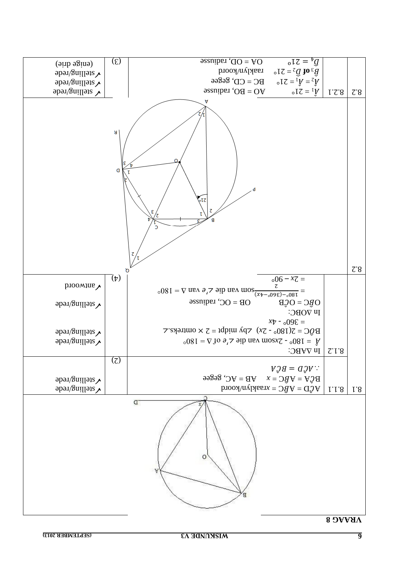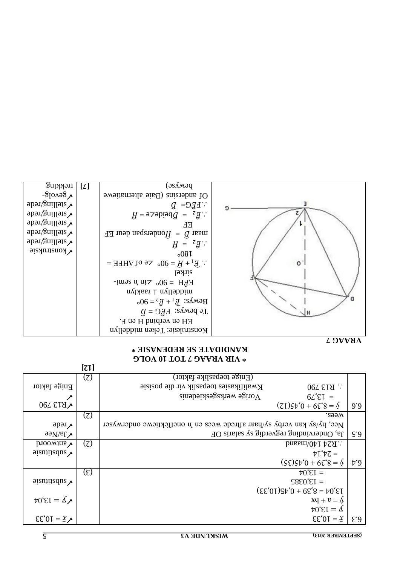**7 VRAAG** 

| Enige faktor                                         |                  | Sister and Malikasies to the posisional setting to say in the position<br>.097519 |               |
|------------------------------------------------------|------------------|-----------------------------------------------------------------------------------|---------------|
|                                                      |                  | $V$ orige werksgeskiedenis<br>$6L^{\prime}\mathcal{E}I =$                         |               |
| <b>VR13790</b>                                       |                  | $(21)$ St' $0 + 6$ E' $8 = 6$                                                     | 9.0           |
|                                                      | (7)              | wees.                                                                             |               |
| $\Delta$ rede                                        |                  | Nee, hy/sy kan verby sy/haar aftrede wees en 'n oneffektiewe onderwyser           |               |
| $\sqrt{1gN}$ ee                                      |                  | Ja, Ondervinding regverdig sy salaris OF                                          | $\zeta$ .0    |
| prooving $\lambda$                                   | (7)              | $\therefore$ R24 140/maand                                                        |               |
| $\gamma$                                             |                  | $\forall$ I' $\forall$ $\zeta$ =                                                  |               |
|                                                      |                  | $(\xi \xi) \xi^0 + 6 \xi^0 = 8$                                                   | $\uparrow$ .9 |
|                                                      | $(\mathfrak{L})$ | $\forall$ 0' $\epsilon$ <sub>I</sub> =                                            |               |
| $\frac{1}{2}$                                        |                  | $S8E0'EI =$                                                                       |               |
|                                                      |                  | $(\xi \xi' 0I) \xi \psi' 0 + 6 \xi' 8 = \psi 0' \xi I$                            |               |
| $\psi$ = 13,04                                       |                  | $XQ + B = \Lambda$                                                                |               |
|                                                      |                  | $\forall 0 \in I = \underline{\Lambda}$                                           |               |
| $\mathcal{E}\mathcal{E}'0I = \mathbf{\underline{x}}$ |                  | $\mathcal{E}\mathcal{E}'0I = \underline{x}$                                       | E.9           |

#### **TOT 10 VOLG 7 VIR VRAAG \* \* KANDIDATE SE REDENASIE**

 $(Em)$ ge toepaslike faktor (2)

**[12]**

| trekking                 | [L] | pe <i>n</i> Aae)                                                                                |         |
|--------------------------|-----|-------------------------------------------------------------------------------------------------|---------|
| $\sqrt{2}$ evolg-        |     | Of andersins (Baie alternatione                                                                 |         |
| $\gamma$ stelling/rede   |     | $Q = DJH$ .                                                                                     |         |
| $\gamma$ stelling/rede   |     | $\hat{H} = 92$ obeide $\hat{H} = \hat{H}$                                                       |         |
| $\sqrt{2}$ stelling/rede |     | EЕ                                                                                              |         |
| $\sqrt{2}$ stelling/rede |     | maar $\hat{D} = \hat{H}$ onderspan deur EF                                                      |         |
| $\gamma$ stelling/rede   |     | $H = z \overline{g}$ :                                                                          |         |
| $\sqrt{$ konstruksie     |     | 008I                                                                                            |         |
|                          |     | $\therefore$ $\hat{E}_1 + \hat{H} = 90^\circ$ $\leq \text{e of AHE} =$                          | $\circ$ |
|                          |     | <b>Sirkel</b>                                                                                   |         |
|                          |     |                                                                                                 |         |
|                          |     | EFH = $90^\circ$ cin n semi-                                                                    |         |
|                          |     | $ny$ lass $y \perp ny$ lləbbim                                                                  |         |
|                          |     | Bewys: $\mathbf{\tilde{E}}_1 + \mathbf{\tilde{E}}_2 = 90^\circ$                                 |         |
|                          |     | $\widehat{\mathbb{G}} = \widehat{\mathbb{G}}$ and $\widehat{\mathbb{G}} = \widehat{\mathbb{D}}$ |         |
|                          |     | EH en verbind H en F.                                                                           |         |
|                          |     | Konstruksie: Teken middellyn                                                                    |         |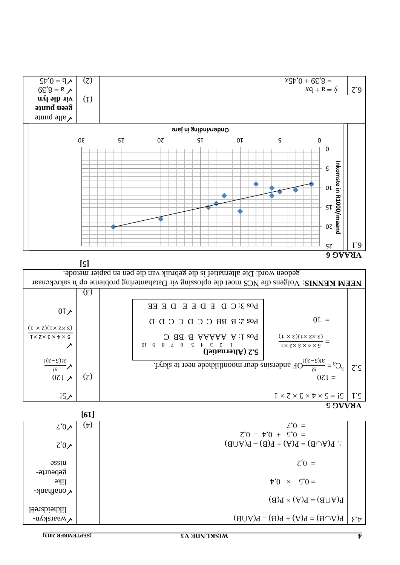



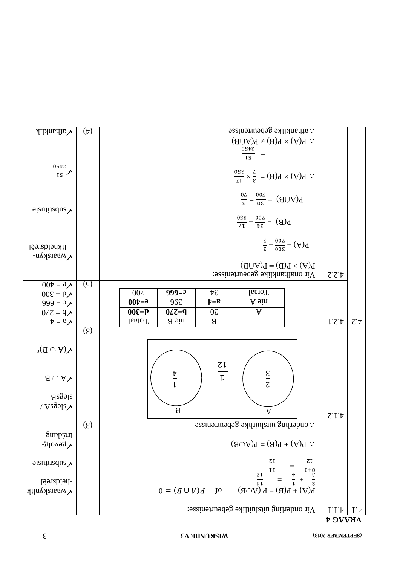| $\sqrt{4}$ afhanklik                    | $(\dag)$      | $\therefore$ afhanklike gebeurtenisse<br>$\therefore$ P(A) × P(B) ≠ P(A∩B)                            |        |                                   |  |  |  |
|-----------------------------------------|---------------|-------------------------------------------------------------------------------------------------------|--------|-----------------------------------|--|--|--|
|                                         |               |                                                                                                       |        |                                   |  |  |  |
|                                         |               | $\frac{0S\hbar Z}{I\hbar}$<br>$\equiv$                                                                |        |                                   |  |  |  |
|                                         |               |                                                                                                       |        |                                   |  |  |  |
| $\frac{05\overline{t}z}{\overline{t}s}$ |               | $\therefore$ P(A) $\times$ P(B) = $\frac{7}{3} \times \frac{350}{12}$                                 |        |                                   |  |  |  |
|                                         |               |                                                                                                       |        |                                   |  |  |  |
|                                         |               |                                                                                                       |        |                                   |  |  |  |
|                                         |               | $\frac{62}{62} = \frac{62}{100} = (d \cap A)q$                                                        |        |                                   |  |  |  |
| $\frac{1}{2}$ signified values          |               |                                                                                                       |        |                                   |  |  |  |
|                                         |               | $B(B) = \frac{200}{34} = \frac{320}{11}$                                                              |        |                                   |  |  |  |
|                                         |               |                                                                                                       |        |                                   |  |  |  |
| likheidsreël                            |               | $\frac{1}{\epsilon} = \frac{1}{\epsilon} = \frac{1}{\epsilon}$                                        |        |                                   |  |  |  |
| V waarskyn-                             |               |                                                                                                       |        |                                   |  |  |  |
|                                         |               | $B(V) \times B(B) = B(V \cup B)$                                                                      |        |                                   |  |  |  |
|                                         |               | Vir onafhanklike gebeurtenisse:                                                                       | 7.2.4  |                                   |  |  |  |
| $\sqrt{\epsilon} = 400$                 | $(\varsigma)$ |                                                                                                       |        |                                   |  |  |  |
| $00E = P \lambda$                       |               | $999=0$<br>00L<br>$\mathcal{F}\mathcal{E}$<br><b>I</b> otaal                                          |        |                                   |  |  |  |
| 999 = $2\lambda$                        |               | $00t = 0$<br>A sin<br>96E<br>$t = 0$                                                                  |        |                                   |  |  |  |
| $0LZ = 9$                               |               | $\mathbf{V}$<br>$00E = p$<br>$0Lz=q$<br>$0\epsilon$                                                   |        |                                   |  |  |  |
| $\uparrow = \mathfrak{v}$               |               | IssioT<br>nie B<br>B                                                                                  | 1.2.1  | $\mathcal{L}^{\cdot} \mathcal{V}$ |  |  |  |
|                                         | $(\xi)$       |                                                                                                       |        |                                   |  |  |  |
|                                         |               |                                                                                                       |        |                                   |  |  |  |
| $\mathcal{N}(A \cup B)$                 |               |                                                                                                       |        |                                   |  |  |  |
|                                         |               |                                                                                                       |        |                                   |  |  |  |
|                                         |               | $\frac{z_1}{t}$                                                                                       |        |                                   |  |  |  |
| $\mathbf{A} \cap \mathbf{A}$            |               | $rac{\Sigma}{\Sigma}$<br>$\frac{\nabla}{L}$                                                           |        |                                   |  |  |  |
| $8$ sas $B$                             |               |                                                                                                       |        |                                   |  |  |  |
| $\sqrt{k}$ gsl $\sim$                   |               |                                                                                                       |        |                                   |  |  |  |
|                                         |               | $\bf B$<br>A                                                                                          | 7.1.4  |                                   |  |  |  |
|                                         | $(\xi)$       | $\cdot$ : onderling uitsluitike gebentenisse                                                          |        |                                   |  |  |  |
| trekking                                |               |                                                                                                       |        |                                   |  |  |  |
| $\sqrt{86}$ 0018-                       |               | $\therefore$ P(A) + P(B) = P(A $\cup$ B)                                                              |        |                                   |  |  |  |
|                                         |               |                                                                                                       |        |                                   |  |  |  |
| $\frac{1}{2}$                           |               |                                                                                                       |        |                                   |  |  |  |
|                                         |               | $\frac{27}{27} = \frac{27}{11}$<br>$\frac{27}{11} = \frac{13}{11}$<br>$\frac{13}{11} = \frac{13}{11}$ |        |                                   |  |  |  |
| -heidsreël                              |               |                                                                                                       |        |                                   |  |  |  |
| <i><b>Vuaarskynlik</b></i>              |               | $P(A) + P(B) = P(A \cup B)$<br>$0 = (d \cup \mathcal{V})d$<br><b>JO</b>                               |        |                                   |  |  |  |
|                                         |               |                                                                                                       |        |                                   |  |  |  |
|                                         |               | $\Lambda$ ir onderling uitsluitlike gebeurtenisse:                                                    | 1.1.4  | $l^{\dagger}$                     |  |  |  |
|                                         |               |                                                                                                       | VRAAG4 |                                   |  |  |  |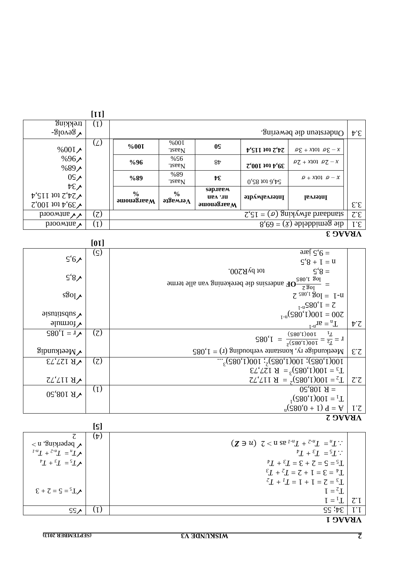#### **1 VRAAG**   $55^\circ$ ; 55  $11$  34; 55  $11$  $I = \frac{1}{2}T$   $\boxed{C.I}$  $\mathcal{E} + \mathcal{Z} = \mathcal{S} = \mathcal{S} \mathbf{I}$  $Z_L + I_L = I + I = Z = \mathcal{E}_L$  $\mathcal{L}I + \mathcal{L}I = \mathcal{L} + I = \mathcal{L} = \mathcal{L}I$  $\mathcal{F}_L + \mathcal{F}_L = \mathcal{F}_L + \mathcal{F}_L = \mathcal{F}_R + \mathcal{F}_L = \mathcal{F}_R + \mathcal{F}_L = \mathcal{F}_R + \mathcal{F}_R = \mathcal{F}_R + \mathcal{F}_R = \mathcal{F}_R + \mathcal{F}_R = \mathcal{F}_R + \mathcal{F}_R = \mathcal{F}_R + \mathcal{F}_R = \mathcal{F}_R + \mathcal{F}_R = \mathcal{F}_R + \mathcal{F}_R = \mathcal{F}_R + \mathcal{F}_R = \mathcal{F}_R + \mathcal{F}_R = \mathcal{F}_R + \mathcal{$  $^{\sharp}L + ^{\sharp}L = ^{\sharp}L$  ::  $(Z \ni u)$   $Z < u$  se  $I^{-u}L + Z^{-u}L = uL$ :  $(\dag)$  $\lambda$  beperking,  $n >$ <br> $\lambda^{n} = T_{n-2} + T_{n-1}$  $\overline{\zeta}$ **[5]**

|                                          |                | tot by R200.<br>$\varsigma$ 's =                                        |                          |  |  |  |  |
|------------------------------------------|----------------|-------------------------------------------------------------------------|--------------------------|--|--|--|--|
| $\mathsf{S}'8\lambda$                    |                | $108$ 1,085<br>-OF andersins die berekening van alle terme              |                          |  |  |  |  |
| s30                                      |                | 1083<br>$7^{580'1}$ 30 = 1-u                                            |                          |  |  |  |  |
|                                          |                | $I_{-u}S80^{\circ}I = Z$                                                |                          |  |  |  |  |
| $\frac{1}{2}$ aismins dus $\lambda$      |                | $_{I-u}(580'1)001 = 007$                                                |                          |  |  |  |  |
| $\gamma$ formule                         |                | $T_n = ar^{n-1}$                                                        | $\mathcal{V}^{\cdot}$    |  |  |  |  |
| $\zeta$ 20 <sup>t</sup> (1 = 1 $\zeta$ ) | (7)            | $I = \frac{I^T}{I^2} = \frac{100(1)082}{(100)(1000)} = \frac{I}{I} = 1$ |                          |  |  |  |  |
| $\gamma$ Meetkundig                      |                | Meetkundige ry, konstante verhouding (r) = $1,085$                      | $\mathcal{E}\mathcal{Z}$ |  |  |  |  |
| $\sqrt{R}$ 127,73                        | (7)            | $100(1'082)$ : 100(1'082) <sup>2</sup> : 100(1,085) <sup>3</sup> .      |                          |  |  |  |  |
|                                          |                | $T_3 = 100(1,085)^3 = R 127,73$                                         |                          |  |  |  |  |
| <b>VRIITAY</b>                           |                | $T_2 = 100(1,085)^2 = R 117.72$                                         | $\mathcal{C}\mathcal{C}$ |  |  |  |  |
| <b>VR</b> 108,50                         | (1)            | $05,801$ $A =$                                                          |                          |  |  |  |  |
|                                          |                | $T_1 = 100(1,085)^T$                                                    |                          |  |  |  |  |
|                                          |                | $V = V (580°0 + 1) d = V$                                               | $l^{\prime}$             |  |  |  |  |
|                                          | <b>VRAAG 2</b> |                                                                         |                          |  |  |  |  |

|  |  | AKAAG |
|--|--|-------|
|  |  |       |

 $\zeta$ '8 + 1 = u  $\int \cot^2 5 \cdot 1$  jare

|                                                              | LL LI |                                                                                                        |                                    |                                                    |                               |                                            |                           |
|--------------------------------------------------------------|-------|--------------------------------------------------------------------------------------------------------|------------------------------------|----------------------------------------------------|-------------------------------|--------------------------------------------|---------------------------|
| trekking                                                     | (1)   |                                                                                                        |                                    |                                                    |                               |                                            |                           |
| $\sim$ 8610] $\delta$ -                                      |       | Ondersteun die bewering.                                                                               |                                    |                                                    |                               |                                            | $\psi \mathcal{E}$        |
| $%001 \times$                                                | (L)   | %00I                                                                                                   | %00I<br>.iassl.                    | 0S                                                 | $t$ 'sii 101 $z$ 't $\bar{z}$ | $x - 3\alpha$ torx + 3 $\alpha$            |                           |
| $%96\angle$<br>$%89\angle$                                   |       | $\%96$                                                                                                 | %\$6<br>.iassl.                    | 84                                                 | 7'0011011'6E                  | $\varrho Z + x \eta \varrho \varrho Z - x$ |                           |
| 05 <sub>2</sub>                                              |       | $\%89$                                                                                                 | %89<br>.iassl.                     | ve                                                 | $0.58$ tot $0.58$             | $D+X$ 101 $D-X$                            |                           |
| $\forall \epsilon$<br>$\gamma$ 54,2 tot 115,4<br>0.101101465 |       | $\frac{6}{9}$<br>$\boldsymbol{\mathsf{a}}$ and $\boldsymbol{\mathsf{a}}$ and $\boldsymbol{\mathsf{a}}$ | $\frac{6}{9}$<br>эдзвмлэ $\Lambda$ | <b>sap.iegy</b><br><b>Nr. van</b><br>$M$ aargenome | ираларды                      | Interval                                   | $\mathcal{E} \mathcal{E}$ |
| $\mu$ antwoord                                               | (7)   | $\zeta \zeta$ = ( $\varphi$ ) guizywha brashanta                                                       |                                    |                                                    |                               |                                            | $\mathcal{I} \mathcal{E}$ |
| $p_{\text{IOOMJUE}}$                                         | (I)   | $8.69 = (\bar{x})$ shobiling sib                                                                       |                                    |                                                    |                               | $I^{\cdot}E$                               |                           |

**[11]**

 $\mathsf{S}'\mathsf{6}$ 

 $\frac{[01]}{(\varsigma)}$